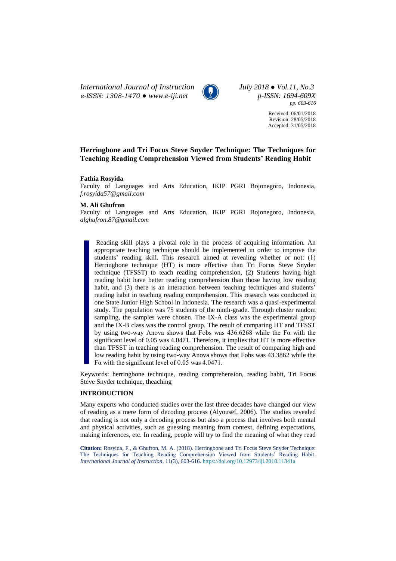*International Journal of Instruction July 2018 ● Vol.11, No.3 e-ISSN: 1308-1470 ● [www.e-iji.net](http://www.e-iji.net/) p-ISSN: 1694-609X*



*pp. 603-616*

Received: 06/01/2018 Revision: 28/05/2018 Accepted: 31/05/2018

# **Herringbone and Tri Focus Steve Snyder Technique: The Techniques for Teaching Reading Comprehension Viewed from Students' Reading Habit**

#### **Fathia Rosyida**

Faculty of Languages and Arts Education, IKIP PGRI Bojonegoro, Indonesia, *f.rosyida57@gmail.com*

## **M. Ali Ghufron**

Faculty of Languages and Arts Education, IKIP PGRI Bojonegoro, Indonesia, *alghufron.87@gmail.com*

Reading skill plays a pivotal role in the process of acquiring information. An appropriate teaching technique should be implemented in order to improve the students' reading skill. This research aimed at revealing whether or not: (1) Herringbone technique (HT) is more effective than Tri Focus Steve Snyder technique (TFSST) to teach reading comprehension, (2) Students having high reading habit have better reading comprehension than those having low reading habit, and (3) there is an interaction between teaching techniques and students' reading habit in teaching reading comprehension. This research was conducted in one State Junior High School in Indonesia. The research was a quasi-experimental study. The population was 75 students of the ninth-grade. Through cluster random sampling, the samples were chosen. The IX-A class was the experimental group and the IX-B class was the control group. The result of comparing HT and TFSST by using two-way Anova shows that Fobs was  $436.6268$  while the F $\alpha$  with the significant level of 0.05 was 4.0471. Therefore, it implies that HT is more effective than TFSST in teaching reading comprehension. The result of comparing high and low reading habit by using two-way Anova shows that Fobs was 43.3862 while the F $\alpha$  with the significant level of 0.05 was 4.0471.

Keywords: herringbone technique, reading comprehension, reading habit, Tri Focus Steve Snyder technique, theaching

## **INTRODUCTION**

Many experts who conducted studies over the last three decades have changed our view of reading as a mere form of decoding process (Alyousef, 2006). The studies revealed that reading is not only a decoding process but also a process that involves both mental and physical activities, such as guessing meaning from context, defining expectations, making inferences, etc. In reading, people will try to find the meaning of what they read

**Citation:** Rosyida, F., & Ghufron, M. A. (2018). Herringbone and Tri Focus Steve Snyder Technique: The Techniques for Teaching Reading Comprehension Viewed from Students' Reading Habit. *International Journal of Instruction*, 11(3), 603-616. <https://doi.org/10.12973/iji.2018.11341a>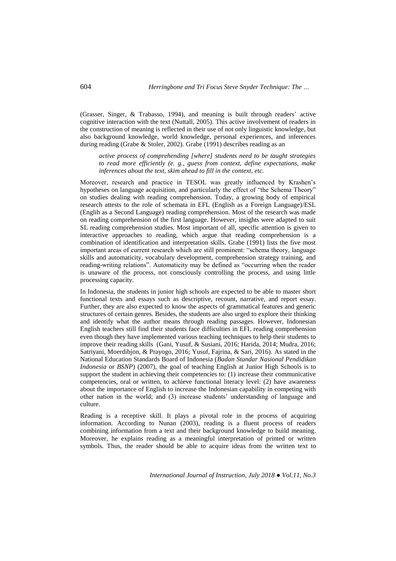(Grasser, Singer, & Trabasso, 1994), and meaning is built through readers' active cognitive interaction with the text (Nuttall, 2005). This active involvement of readers in the construction of meaning is reflected in their use of not only linguistic knowledge, but also background knowledge, world knowledge, personal experiences, and inferences during reading (Grabe & Stoler, 2002). Grabe (1991) describes reading as an

*active process of comprehending [where] students need to be taught strategies to read more efficiently (e. g., guess from context, define expectations, make inferences about the text, skim ahead to fill in the context, etc.* 

Moreover, research and practice in TESOL was greatly influenced by Krashen's hypotheses on language acquisition, and particularly the effect of "the Schema Theory" on studies dealing with reading comprehension. Today, a growing body of empirical research attests to the role of schemata in EFL (English as a Foreign Language)/ESL (Englih as a Second Language) reading comprehension. Most of the research was made on reading comprehension of the first language. However, insights were adapted to suit SL reading comprehension studies. Most important of all, specific attention is given to interactive approaches to reading, which argue that reading comprehension is a combination of identification and interpretation skills. Grabe (1991) lists the five most important areas of current research which are still prominent: "schema theory, language skills and automaticity, vocabulary development, comprehension strategy training, and reading-writing relations". Automaticity may be defined as "occurring when the reader is unaware of the process, not consciously controlling the process, and using little processing capacity.

In Indonesia, the students in junior high schools are expected to be able to master short functional texts and essays such as descriptive, recount, narrative, and report essay. Further, they are also expected to know the aspects of grammatical features and generic structures of certain genres. Besides, the students are also urged to explore their thinking and identify what the author means through reading passages. However, Indonesian English teachers still find their students face difficulties in EFL reading comprehension even though they have implemented various teaching techniques to help their students to improve their reading skills (Gani, Yusuf, & Susiani, 2016; Harida, 2014; Mudra, 2016; Satriyani, Moerdibjon, & Prayogo, 2016; Yusuf, Fajrina, & Sari, 2016). As stated in the National Education Standards Board of Indonesia (*Badan Standar Nasional Pendidikan Indonesia* or *BSNP*) (2007), the goal of teaching English at Junior High Schools is to support the student in achieving their competencies to: (1) increase their communicative competencies, oral or written, to achieve functional literacy level: (2) have awareness about the importance of English to increase the Indonesian capability in competing with other nation in the world; and (3) increase students' understanding of language and culture.

Reading is a receptive skill. It plays a pivotal role in the process of acquiring information. According to Nunan (2003), reading is a fluent process of readers combining information from a text and their background knowledge to build meaning. Moreover, he explains reading as a meaningful interpretation of printed or written symbols. Thus, the reader should be able to acquire ideas from the written text to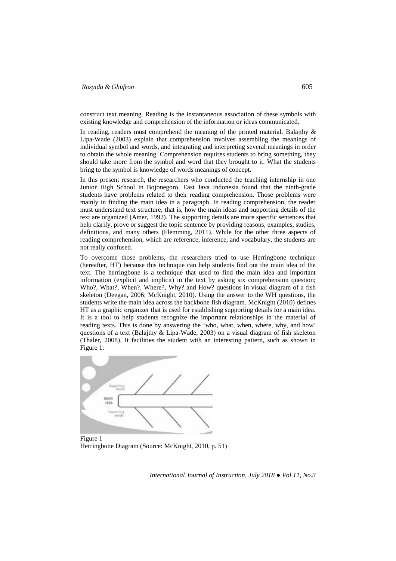construct text meaning. Reading is the instantaneous association of these symbols with existing knowledge and comprehension of the information or ideas communicated.

In reading, readers must comprehend the meaning of the printed material. Balajthy  $\&$ Lipa-Wade (2003) explain that comprehension involves assembling the meanings of individual symbol and words, and integrating and interpreting several meanings in order to obtain the whole meaning. Comprehension requires students to bring something, they should take more from the symbol and word that they brought to it. What the students bring to the symbol is knowledge of words meanings of concept.

In this present research, the researchers who conducted the teaching internship in one Junior High School in Bojonegoro, East Java Indonesia found that the ninth-grade students have problems related to their reading comprehension. Those problems were mainly in finding the main idea in a paragraph. In reading comprehension, the reader must understand text structure; that is, how the main ideas and supporting details of the text are organized (Amer, 1992). The supporting details are more specific sentences that help clarify, prove or suggest the topic sentence by providing reasons, examples, studies, definitions, and many others (Flemming, 2011). While for the other three aspects of reading comprehension, which are reference, inference, and vocabulary, the students are not really confused.

To overcome those problems, the researchers tried to use Herringbone technique (hereafter, HT) because this technique can help students find out the main idea of the text. The herringbone is a technique that used to find the main idea and important information (explicit and implicit) in the text by asking six comprehension question; Who?, What?, When?, Where?, Why? and How? questions in visual diagram of a fish skeleton (Deegan, 2006; McKnight, 2010). Using the answer to the WH questions, the students write the main idea across the backbone fish diagram. McKnight (2010) defines HT as a graphic organizer that is used for establishing supporting details for a main idea. It is a tool to help students recognize the important relationships in the material of reading texts. This is done by answering the 'who, what, when, where, why, and how' questions of a text (Balajthy & Lipa-Wade, 2003) on a visual diagram of fish skeleton (Thaler, 2008). It facilities the student with an interesting pattern, such as shown in Figure 1:



Figure 1 Herringbone Diagram (Source: McKnight, 2010, p. 51)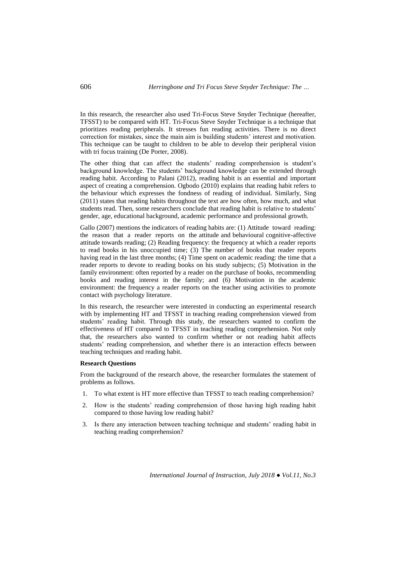In this research, the researcher also used Tri-Focus Steve Snyder Technique (hereafter, TFSST) to be compared with HT. Tri-Focus Steve Snyder Technique is a technique that prioritizes reading peripherals. It stresses fun reading activities. There is no direct correction for mistakes, since the main aim is building students' interest and motivation. This technique can be taught to children to be able to develop their peripheral vision with tri focus training (De Porter, 2008).

The other thing that can affect the students' reading comprehension is student's background knowledge. The students' background knowledge can be extended through reading habit. According to Palani (2012), reading habit is an essential and important aspect of creating a comprehension. Ogbodo (2010) explains that reading habit refers to the behaviour which expresses the fondness of reading of individual. Similarly, Sing (2011) states that reading habits throughout the text are how often, how much, and what students read. Then, some researchers conclude that reading habit is relative to students' gender, age, educational background, academic performance and professional growth.

Gallo (2007) mentions the indicators of reading habits are: (1) Attitude toward reading: the reason that a reader reports on the attitude and behavioural cognitive-affective attitude towards reading; (2) Reading frequency: the frequency at which a reader reports to read books in his unoccupied time; (3) The number of books that reader reports having read in the last three months; (4) Time spent on academic reading: the time that a reader reports to devote to reading books on his study subjects; (5) Motivation in the family environment: often reported by a reader on the purchase of books, recommending books and reading interest in the family; and (6) Motivation in the academic environment: the frequency a reader reports on the teacher using activities to promote contact with psychology literature.

In this research, the researcher were interested in conducting an experimental research with by implementing HT and TFSST in teaching reading comprehension viewed from students' reading habit. Through this study, the researchers wanted to confirm the effectiveness of HT compared to TFSST in teaching reading comprehension. Not only that, the researchers also wanted to confirm whether or not reading habit affects students' reading comprehension, and whether there is an interaction effects between teaching techniques and reading habit.

# **Research Questions**

From the background of the research above, the researcher formulates the statement of problems as follows.

- 1. To what extent is HT more effective than TFSST to teach reading comprehension?
- 2. How is the students' reading comprehension of those having high reading habit compared to those having low reading habit?
- 3. Is there any interaction between teaching technique and students' reading habit in teaching reading comprehension?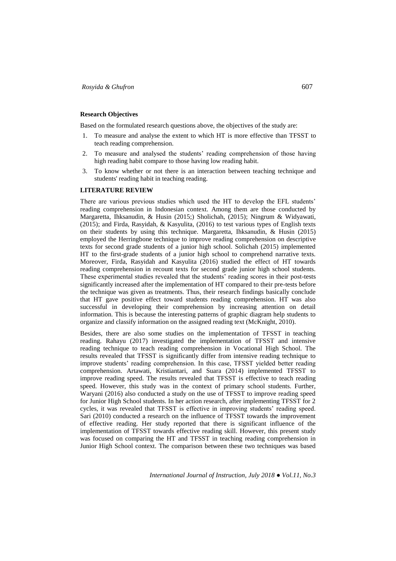## **Research Objectives**

Based on the formulated research questions above, the objectives of the study are:

- 1. To measure and analyse the extent to which HT is more effective than TFSST to teach reading comprehension.
- 2. To measure and analysed the students' reading comprehension of those having high reading habit compare to those having low reading habit.
- 3. To know whether or not there is an interaction between teaching technique and students' reading habit in teaching reading.

#### **LITERATURE REVIEW**

There are various previous studies which used the HT to develop the EFL students' reading comprehension in Indonesian context. Among them are those conducted by Margaretta, Ihksanudin, & Husin (2015;) Sholichah, (2015); Ningrum & Widyawati, (2015); and Firda, Rasyidah, & Kasyulita, (2016) to test various types of English texts on their students by using this technique. Margaretta, Ihksanudin, & Husin (2015) employed the Herringbone technique to improve reading comprehension on descriptive texts for second grade students of a junior high school. Solichah (2015) implemented HT to the first-grade students of a junior high school to comprehend narrative texts. Moreover, Firda, Rasyidah and Kasyulita (2016) studied the effect of HT towards reading comprehension in recount texts for second grade junior high school students. These experimental studies revealed that the students' reading scores in their post-tests significantly increased after the implementation of HT compared to their pre-tests before the technique was given as treatments. Thus, their research findings basically conclude that HT gave positive effect toward students reading comprehension. HT was also successful in developing their comprehension by increasing attention on detail information. This is because the interesting patterns of graphic diagram help students to organize and classify information on the assigned reading text (McKnight, 2010).

Besides, there are also some studies on the implementation of TFSST in teaching reading. Rahayu (2017) investigated the implementation of TFSST and intensive reading technique to teach reading comprehension in Vocational High School. The results revealed that TFSST is significantly differ from intensive reading technique to improve students' reading comprehension. In this case, TFSST yielded better reading comprehension. Artawati, Kristiantari, and Suara (2014) implemented TFSST to improve reading speed. The results revealed that TFSST is effective to teach reading speed. However, this study was in the context of primary school students. Further, Waryani (2016) also conducted a study on the use of TFSST to improve reading speed for Junior High School students. In her action research, after implementing TFSST for 2 cycles, it was revealed that TFSST is effective in improving students' reading speed. Sari (2010) conducted a research on the influence of TFSST towards the improvement of effective reading. Her study reported that there is significant influence of the implementation of TFSST towards effective reading skill. However, this present study was focused on comparing the HT and TFSST in teaching reading comprehension in Junior High School context. The comparison between these two techniques was based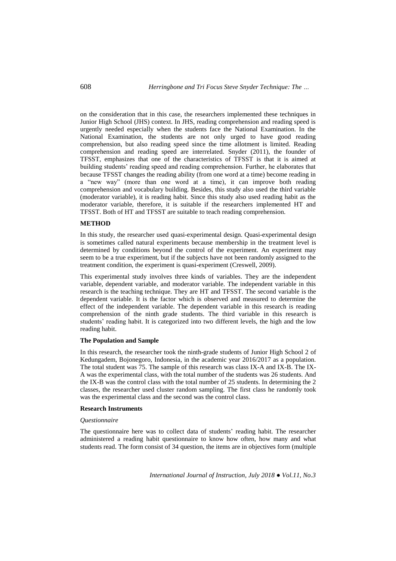on the consideration that in this case, the researchers implemented these techniques in Junior High School (JHS) context. In JHS, reading comprehension and reading speed is urgently needed especially when the students face the National Examination. In the National Examination, the students are not only urged to have good reading comprehension, but also reading speed since the time allotment is limited. Reading comprehension and reading speed are interrelated. Snyder (2011), the founder of TFSST, emphasizes that one of the characteristics of TFSST is that it is aimed at building students' reading speed and reading comprehension. Further, he elaborates that because TFSST changes the reading ability (from one word at a time) become reading in a "new way" (more than one word at a time), it can improve both reading comprehension and vocabulary building. Besides, this study also used the third variable (moderator variable), it is reading habit. Since this study also used reading habit as the moderator variable, therefore, it is suitable if the researchers implemented HT and TFSST. Both of HT and TFSST are suitable to teach reading comprehension.

#### **METHOD**

In this study, the researcher used quasi-experimental design. Quasi-experimental design is sometimes called natural experiments because membership in the treatment level is determined by conditions beyond the control of the experiment. An experiment may seem to be a true experiment, but if the subjects have not been randomly assigned to the treatment condition, the experiment is quasi-experiment (Creswell, 2009).

This experimental study involves three kinds of variables. They are the independent variable, dependent variable, and moderator variable. The independent variable in this research is the teaching technique. They are HT and TFSST. The second variable is the dependent variable. It is the factor which is observed and measured to determine the effect of the independent variable. The dependent variable in this research is reading comprehension of the ninth grade students. The third variable in this research is students' reading habit. It is categorized into two different levels, the high and the low reading habit.

## **The Population and Sample**

In this research, the researcher took the ninth-grade students of Junior High School 2 of Kedungadem, Bojonegoro, Indonesia, in the academic year 2016/2017 as a population. The total student was 75. The sample of this research was class IX-A and IX-B. The IX-A was the experimental class, with the total number of the students was 26 students. And the IX-B was the control class with the total number of 25 students. In determining the 2 classes, the researcher used cluster random sampling. The first class he randomly took was the experimental class and the second was the control class.

#### **Research Instruments**

#### *Questionnaire*

The questionnaire here was to collect data of students' reading habit. The researcher administered a reading habit questionnaire to know how often, how many and what students read. The form consist of 34 question, the items are in objectives form (multiple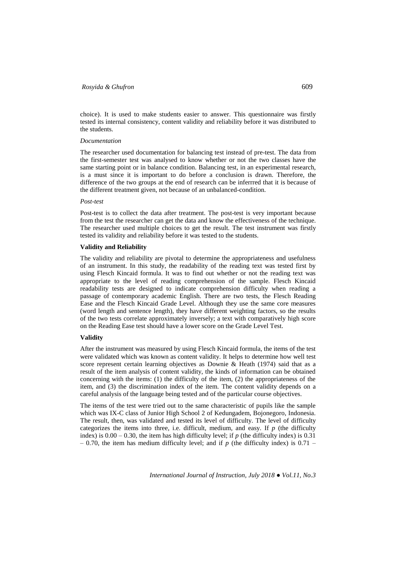choice). It is used to make students easier to answer. This questionnaire was firstly tested its internal consistency, content validity and reliability before it was distributed to the students.

## *Documentation*

The researcher used documentation for balancing test instead of pre-test. The data from the first-semester test was analysed to know whether or not the two classes have the same starting point or in balance condition. Balancing test, in an experimental research, is a must since it is important to do before a conclusion is drawn. Therefore, the difference of the two groups at the end of research can be inferrred that it is because of the different treatment given, not because of an unbalanced-condition.

#### *Post-test*

Post-test is to collect the data after treatment. The post-test is very important because from the test the researcher can get the data and know the effectiveness of the technique. The researcher used multiple choices to get the result. The test instrument was firstly tested its validity and reliability before it was tested to the students.

## **Validity and Reliability**

The validity and reliability are pivotal to determine the appropriateness and usefulness of an instrument. In this study, the readability of the reading text was tested first by using Flesch Kincaid formula. It was to find out whether or not the reading text was appropriate to the level of reading comprehension of the sample. Flesch Kincaid readability tests are designed to indicate comprehension difficulty when reading a passage of contemporary academic English. There are two tests, the Flesch Reading Ease and the Flesch Kincaid Grade Level. Although they use the same core measures (word length and sentence length), they have different weighting factors, so the results of the two tests correlate approximately inversely; a text with comparatively high score on the Reading Ease test should have a lower score on the Grade Level Test.

## **Validity**

After the instrument was measured by using Flesch Kincaid formula, the items of the test were validated which was known as content validity. It helps to determine how well test score represent certain learning objectives as Downie & Heath (1974) said that as a result of the item analysis of content validity, the kinds of information can be obtained concerning with the items:  $(1)$  the difficulty of the item,  $(2)$  the appropriateness of the item, and (3) the discrimination index of the item. The content validity depends on a careful analysis of the language being tested and of the particular course objectives.

The items of the test were tried out to the same characteristic of pupils like the sample which was IX-C class of Junior High School 2 of Kedungadem, Bojonegoro, Indonesia. The result, then, was validated and tested its level of difficulty. The level of difficulty categorizes the items into three, i.e. difficult, medium, and easy. If *p* (the difficulty index) is  $0.00 - 0.30$ , the item has high difficulty level; if *p* (the difficulty index) is 0.31  $-$  0.70, the item has medium difficulty level; and if p (the difficulty index) is 0.71 –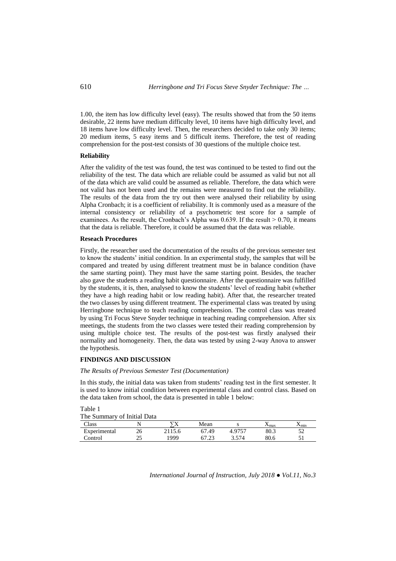1.00, the item has low difficulty level (easy). The results showed that from the 50 items desirable, 22 items have medium difficulty level, 10 items have high difficulty level, and 18 items have low difficulty level. Then, the researchers decided to take only 30 items; 20 medium items, 5 easy items and 5 difficult items. Therefore, the test of reading comprehension for the post-test consists of 30 questions of the multiple choice test.

#### **Reliability**

After the validity of the test was found, the test was continued to be tested to find out the reliability of the test. The data which are reliable could be assumed as valid but not all of the data which are valid could be assumed as reliable. Therefore, the data which were not valid has not been used and the remains were measured to find out the reliability. The results of the data from the try out then were analysed their reliability by using Alpha Cronbach; it is a coefficient of reliability. It is commonly used as a measure of the internal consistency or reliability of a psychometric test score for a sample of examinees. As the result, the Cronbach's Alpha was 0.639. If the result  $> 0.70$ , it means that the data is reliable. Therefore, it could be assumed that the data was reliable.

#### **Reseach Procedures**

Firstly, the researcher used the documentation of the results of the previous semester test to know the students' initial condition. In an experimental study, the samples that will be compared and treated by using different treatment must be in balance condition (have the same starting point). They must have the same starting point. Besides, the teacher also gave the students a reading habit questionnaire. After the questionnaire was fulfilled by the students, it is, then, analysed to know the students' level of reading habit (whether they have a high reading habit or low reading habit). After that, the researcher treated the two classes by using different treatment. The experimental class was treated by using Herringbone technique to teach reading comprehension. The control class was treated by using Tri Focus Steve Snyder technique in teaching reading comprehension. After six meetings, the students from the two classes were tested their reading comprehension by using multiple choice test. The results of the post-test was firstly analysed their normality and homogeneity. Then, the data was tested by using 2-way Anova to answer the hypothesis.

#### **FINDINGS AND DISCUSSION**

#### *The Results of Previous Semester Test (Documentation)*

In this study, the initial data was taken from students' reading test in the first semester. It is used to know initial condition between experimental class and control class. Based on the data taken from school, the data is presented in table 1 below:

|--|

| The Summary of Initial Data |    |        |       |        |                 |      |
|-----------------------------|----|--------|-------|--------|-----------------|------|
| Class                       |    |        | Mean  |        | $\mathbf{m}$ ax | ^min |
| Experimental                | 26 | 2115.6 | 67.49 | 4.9757 | 80.3            |      |
| Control                     | າເ | 1999   |       | 3.574  | 80.6            |      |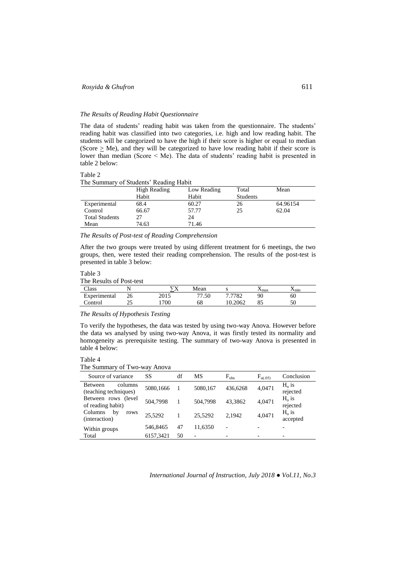## *The Results of Reading Habit Questionnaire*

The data of students' reading habit was taken from the questionnaire. The students' reading habit was classified into two categories, i.e. high and low reading habit. The students will be categorized to have the high if their score is higher or equal to median (Score  $\geq$  Me), and they will be categorized to have low reading habit if their score is lower than median (Score < Me). The data of students' reading habit is presented in table 2 below:

#### Table 2

The Summary of Students' Reading Habit

|                       | High Reading | Low Reading | Total    | Mean     |
|-----------------------|--------------|-------------|----------|----------|
|                       | Habit        | Habit       | Students |          |
| Experimental          | 68.4         | 60.27       | 26       | 64.96154 |
| Control               | 66.67        | 57.77       | 25       | 62.04    |
| <b>Total Students</b> |              | 24          |          |          |
| Mean                  | 74.63        | 71.46       |          |          |

#### *The Results of Post-test of Reading Comprehension*

After the two groups were treated by using different treatment for 6 meetings, the two groups, then, were tested their reading comprehension. The results of the post-test is presented in table 3 below:

# Table 3

| The Results of Post-test |
|--------------------------|
|                          |

| ∠lass        |    | $\Box$<br>∡⊾ | Mean | ∼      | $\mathbf{m}$ ax | $\rightarrow$ min |
|--------------|----|--------------|------|--------|-----------------|-------------------|
| Experimental | 26 | 2015         | .50  | 7782   | 90              | 60                |
| `ontrol      | ت  | 700          | 68   | 0.2062 | ບຸ              | 50                |

## *The Results of Hypothesis Testing*

To verify the hypotheses, the data was tested by using two-way Anova. However before the data ws analysed by using two-way Anova, it was firstly tested its normality and homogeneity as prerequisite testing. The summary of two-way Anova is presented in table 4 below:

## Table 4

The Summary of Two-way Anova

| Source of variance                                 | SS        | df | MS                       | $F_{obs}$                | $F_{\alpha(.05)}$ | Conclusion           |
|----------------------------------------------------|-----------|----|--------------------------|--------------------------|-------------------|----------------------|
| <b>Between</b><br>columns<br>(teaching techniques) | 5080,1666 |    | 5080,167                 | 436,6268                 | 4,0471            | $Ho$ is<br>rejected  |
| Between rows (level<br>of reading habit)           | 504,7998  |    | 504.7998                 | 43.3862                  | 4.0471            | $H_0$ is<br>rejected |
| Columns<br>by<br>rows<br>(interaction)             | 25.5292   |    | 25.5292                  | 2.1942                   | 4,0471            | $Ho$ is<br>accepted  |
| Within groups                                      | 546,8465  | 47 | 11.6350                  | $\overline{\phantom{a}}$ |                   |                      |
| Total                                              | 6157,3421 | 50 | $\overline{\phantom{0}}$ |                          |                   |                      |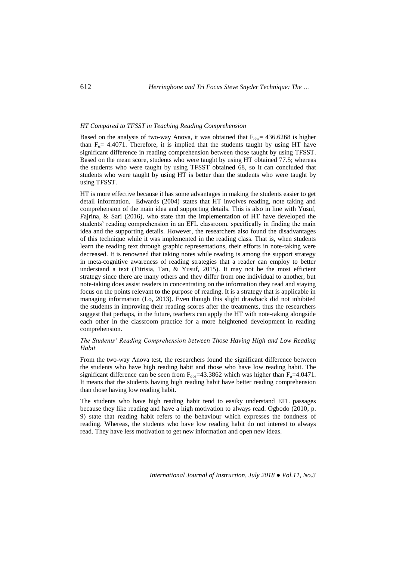#### *HT Compared to TFSST in Teaching Reading Comprehension*

Based on the analysis of two-way Anova, it was obtained that  $F_{obs}$  = 436.6268 is higher than  $F_a = 4.4071$ . Therefore, it is implied that the students taught by using HT have significant difference in reading comprehension between those taught by using TFSST. Based on the mean score, students who were taught by using HT obtained 77.5; whereas the students who were taught by using TFSST obtained 68, so it can concluded that students who were taught by using HT is better than the students who were taught by using TFSST.

HT is more effective because it has some advantages in making the students easier to get detail information. Edwards (2004) states that HT involves reading, note taking and comprehension of the main idea and supporting details. This is also in line with Yusuf, Fajrina, & Sari (2016), who state that the implementation of HT have developed the students' reading comprehension in an EFL classroom, specifically in finding the main idea and the supporting details. However, the researchers also found the disadvantages of this technique while it was implemented in the reading class. That is, when students learn the reading text through graphic representations, their efforts in note-taking were decreased. It is renowned that taking notes while reading is among the support strategy in meta-cognitive awareness of reading strategies that a reader can employ to better understand a text (Fitrisia, Tan,  $\&$  Yusuf, 2015). It may not be the most efficient strategy since there are many others and they differ from one individual to another, but note-taking does assist readers in concentrating on the information they read and staying focus on the points relevant to the purpose of reading. It is a strategy that is applicable in managing information (Lo, 2013). Even though this slight drawback did not inhibited the students in improving their reading scores after the treatments, thus the researchers suggest that perhaps, in the future, teachers can apply the HT with note-taking alongside each other in the classroom practice for a more heightened development in reading comprehension.

## *The Students' Reading Comprehension between Those Having High and Low Reading Habit*

From the two-way Anova test, the researchers found the significant difference between the students who have high reading habit and those who have low reading habit. The significant difference can be seen from  $F_{obs}$ =43.3862 which was higher than  $F_{\alpha}$ =4.0471. It means that the students having high reading habit have better reading comprehension than those having low reading habit.

The students who have high reading habit tend to easiky understand EFL passages because they like reading and have a high motivation to always read. Ogbodo (2010, p. 9) state that reading habit refers to the behaviour which expresses the fondness of reading. Whereas, the students who have low reading habit do not interest to always read. They have less motivation to get new information and open new ideas.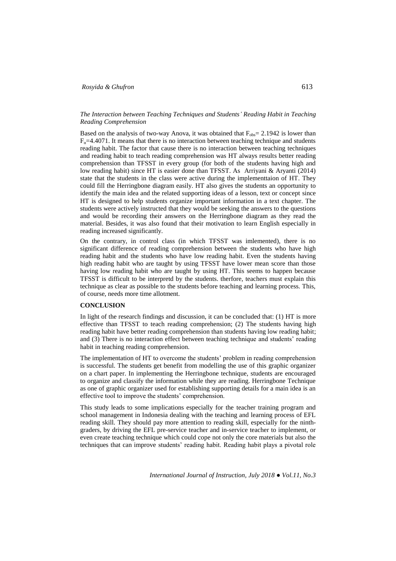## *The Interaction between Teaching Techniques and Students' Reading Habit in Teaching Reading Comprehension*

Based on the analysis of two-way Anova, it was obtained that  $F_{obs} = 2.1942$  is lower than  $F_a = 4.4071$ . It means that there is no interaction between teaching technique and students reading habit. The factor that cause there is no interaction between teaching techniques and reading habit to teach reading comprehension was HT always results better reading comprehension than TFSST in every group (for both of the students having high and low reading habit) since HT is easier done than TFSST. As Arriyani & Aryanti (2014) state that the students in the class were active during the implementtaion of HT. They could fill the Herringbone diagram easily. HT also gives the students an opportunity to identify the main idea and the related supporting ideas of a lesson, text or concept since HT is designed to help students organize important information in a text chapter. The students were actively instructed that they would be seeking the answers to the questions and would be recording their answers on the Herringbone diagram as they read the material. Besides, it was also found that their motivation to learn English especially in reading increased significantly.

On the contrary, in control class (in which TFSST was imlemented), there is no significant difference of reading comprehension between the students who have high reading habit and the students who have low reading habit. Even the students having high reading habit who are taught by using TFSST have lower mean score than those having low reading habit who are taught by using HT. This seems to happen because TFSST is difficult to be interpretd by the students. therfore, teachers must explain this technique as clear as possible to the students before teaching and learning process. This, of course, needs more time allotment.

## **CONCLUSION**

In light of the research findings and discussion, it can be concluded that: (1) HT is more effective than TFSST to teach reading comprehension; (2) The students having high reading habit have better reading comprehension than students having low reading habit; and (3) There is no interaction effect between teaching technique and students' reading habit in teaching reading comprehension.

The implementation of HT to overcome the students' problem in reading comprehension is successful. The students get benefit from modelling the use of this graphic organizer on a chart paper. In implementing the Herringbone technique, students are encouraged to organize and classify the information while they are reading. Herringbone Technique as one of graphic organizer used for establishing supporting details for a main idea is an effective tool to improve the students' comprehension.

This study leads to some implications especially for the teacher training program and school management in Indonesia dealing with the teaching and learning process of EFL reading skill. They should pay more attention to reading skill, especially for the ninthgraders, by driving the EFL pre-service teacher and in-service teacher to implement, or even create teaching technique which could cope not only the core materials but also the techniques that can improve students' reading habit. Reading habit plays a pivotal role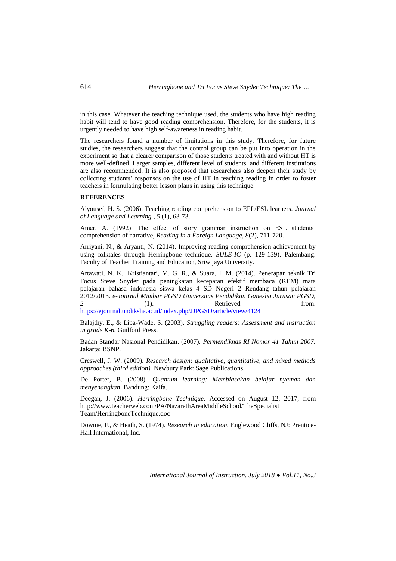in this case. Whatever the teaching technique used, the students who have high reading habit will tend to have good reading comprehension. Therefore, for the students, it is urgently needed to have high self-awareness in reading habit.

The researchers found a number of limitations in this study. Therefore, for future studies, the researchers suggest that the control group can be put into operation in the experiment so that a clearer comparison of those students treated with and without HT is more well-defined. Larger samples, different level of students, and different institutions are also recommended. It is also proposed that researchers also deepen their study by collecting students' responses on the use of HT in teaching reading in order to foster teachers in formulating better lesson plans in using this technique.

## **REFERENCES**

Alyousef, H. S. (2006). Teaching reading comprehension to EFL/ESL learners. *Journal of Language and Learning , 5* (1), 63-73.

Amer, A. (1992). The effect of story grammar instruction on ESL students' comprehension of narrative, *Reading in a Foreign Language, 8*(2), 711-720.

Arriyani, N., & Aryanti, N. (2014). Improving reading comprehension achievement by using folktales through Herringbone technique. *SULE-IC* (p. 129-139). Palembang: Faculty of Teacher Training and Education, Sriwijaya University.

Artawati, N. K., Kristiantari, M. G. R., & Suara, I. M. (2014). Penerapan teknik Tri Focus Steve Snyder pada peningkatan kecepatan efektif membaca (KEM) mata pelajaran bahasa indonesia siswa kelas 4 SD Negeri 2 Rendang tahun pelajaran 2012/2013. *e-Journal Mimbar PGSD Universitas Pendidikan Ganesha Jurusan PGSD,*  2 (1). Retrieved from:

<https://ejournal.undiksha.ac.id/index.php/JJPGSD/article/view/4124>

Balajthy, E., & Lipa-Wade, S. (2003). *Struggling readers: Assessment and instruction in grade K-6.* Guilford Press.

Badan Standar Nasional Pendidikan. (2007). *Permendiknas RI Nomor 41 Tahun 2007.* Jakarta: BSNP.

Creswell, J. W. (2009). *Research design: qualitative, quantitative, and mixed methods approaches (third edition).* Newbury Park: Sage Publications.

De Porter, B. (2008). *Quantum learning: Membiasakan belajar nyaman dan menyenangkan.* Bandung: Kaifa.

Deegan, J. (2006). *Herringbone Technique.* Accessed on August 12, 2017, from http://www.teacherweb.com/PA/NazarethAreaMiddleSchool/TheSpecialist Team/HerringboneTechnique.doc

Downie, F., & Heath, S. (1974). *Research in education.* Englewood Cliffs, NJ: Prentice-Hall International, Inc.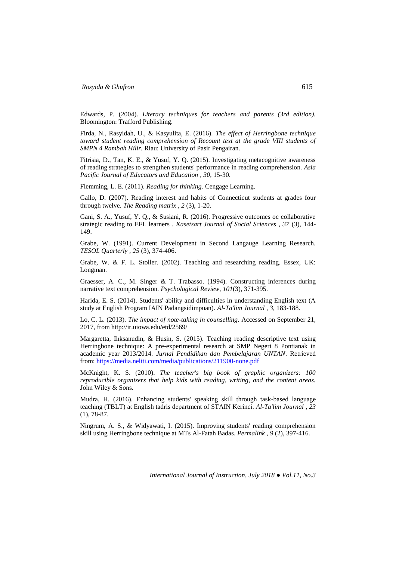Edwards, P. (2004). *Literacy techniques for teachers and parents (3rd edition).* Bloomington: Trafford Publishing.

Firda, N., Rasyidah, U., & Kasyulita, E. (2016). *The effect of Herringbone technique toward student reading comprehension of Recount text at the grade VIII students of SMPN 4 Rambah Hilir.* Riau: University of Pasir Pengairan.

Fitrisia, D., Tan, K. E., & Yusuf, Y. Q. (2015). Investigating metacognitive awareness of reading strategies to strengthen students' performance in reading comprehension. *Asia Pacific Journal of Educators and Education , 30*, 15-30.

Flemming, L. E. (2011). *Reading for thinking.* Cengage Learning.

Gallo, D. (2007). Reading interest and habits of Connecticut students at grades four through twelve. *The Reading matrix , 2* (3), 1-20.

Gani, S. A., Yusuf, Y. Q., & Susiani, R. (2016). Progressive outcomes oc collaborative strategic reading to EFL learners . *Kasetsart Journal of Social Sciences , 37* (3), 144- 149.

Grabe, W. (1991). Current Development in Second Langauge Learning Research. *TESOL Quarterly , 25* (3), 374-406.

Grabe, W. & F. L. Stoller. (2002). Teaching and researching reading. Essex, UK: Longman.

Graesser, A. C., M. Singer & T. Trabasso. (1994). Constructing inferences during narrative text comprehension. *Psychological Review, 101*(3), 371-395.

Harida, E. S. (2014). Students' ability and difficulties in understanding English text (A study at English Program IAIN Padangsidimpuan). *Al-Ta'lim Journal , 3*, 183-188.

Lo, C. L. (2013). *The impact of note-taking in counselling.* Accessed on September 21, 2017, from http://ir.uiowa.edu/etd/2569/

Margaretta, Ihksanudin, & Husin, S. (2015). Teaching reading descriptive text using Herringbone technique: A pre-experimental research at SMP Negeri 8 Pontianak in academic year 2013/2014. *Jurnal Pendidikan dan Pembelajaran UNTAN*. Retrieved from:<https://media.neliti.com/media/publications/211900-none.pdf>

McKnight, K. S. (2010). *The teacher's big book of graphic organizers: 100 reproducible organizers that help kids with reading, writing, and the content areas.* John Wiley & Sons.

Mudra, H. (2016). Enhancing students' speaking skill through task-based language teaching (TBLT) at English tadris department of STAIN Kerinci. *Al-Ta'lim Journal , 23* (1), 78-87.

Ningrum, A. S., & Widyawati, I. (2015). Improving students' reading comprehension skill using Herringbone technique at MTs Al-Fatah Badas. *Permalink , 9* (2), 397-416.